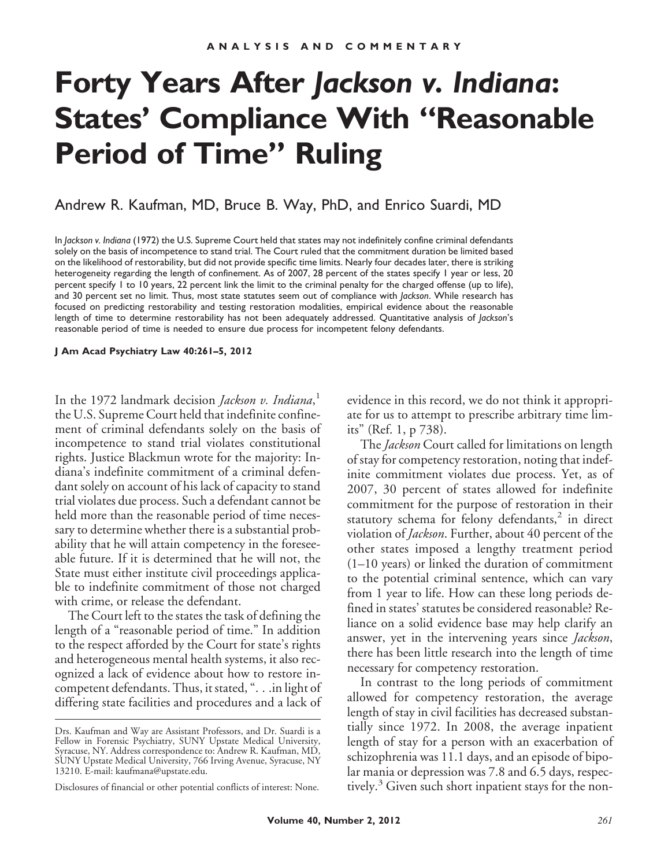# **Forty Years After** *Jackson v. Indiana***: States' Compliance With "Reasonable Period of Time" Ruling**

### Andrew R. Kaufman, MD, Bruce B. Way, PhD, and Enrico Suardi, MD

In *Jackson v. Indiana* (1972) the U.S. Supreme Court held that states may not indefinitely confine criminal defendants solely on the basis of incompetence to stand trial. The Court ruled that the commitment duration be limited based on the likelihood of restorability, but did not provide specific time limits. Nearly four decades later, there is striking heterogeneity regarding the length of confinement. As of 2007, 28 percent of the states specify 1 year or less, 20 percent specify 1 to 10 years, 22 percent link the limit to the criminal penalty for the charged offense (up to life), and 30 percent set no limit. Thus, most state statutes seem out of compliance with *Jackson*. While research has focused on predicting restorability and testing restoration modalities, empirical evidence about the reasonable length of time to determine restorability has not been adequately addressed. Quantitative analysis of *Jackson*'s reasonable period of time is needed to ensure due process for incompetent felony defendants.

**J Am Acad Psychiatry Law 40:261–5, 2012**

In the 1972 landmark decision *Jackson v. Indiana*, 1 the U.S. Supreme Court held that indefinite confinement of criminal defendants solely on the basis of incompetence to stand trial violates constitutional rights. Justice Blackmun wrote for the majority: Indiana's indefinite commitment of a criminal defendant solely on account of his lack of capacity to stand trial violates due process. Such a defendant cannot be held more than the reasonable period of time necessary to determine whether there is a substantial probability that he will attain competency in the foreseeable future. If it is determined that he will not, the State must either institute civil proceedings applicable to indefinite commitment of those not charged with crime, or release the defendant.

The Court left to the states the task of defining the length of a "reasonable period of time." In addition to the respect afforded by the Court for state's rights and heterogeneous mental health systems, it also recognized a lack of evidence about how to restore incompetent defendants. Thus, it stated, ". . .in light of differing state facilities and procedures and a lack of evidence in this record, we do not think it appropriate for us to attempt to prescribe arbitrary time limits" (Ref. 1, p 738).

The *Jackson* Court called for limitations on length of stay for competency restoration, noting that indefinite commitment violates due process. Yet, as of 2007, 30 percent of states allowed for indefinite commitment for the purpose of restoration in their statutory schema for felony defendants, $<sup>2</sup>$  in direct</sup> violation of *Jackson*. Further, about 40 percent of the other states imposed a lengthy treatment period (1–10 years) or linked the duration of commitment to the potential criminal sentence, which can vary from 1 year to life. How can these long periods defined in states' statutes be considered reasonable? Reliance on a solid evidence base may help clarify an answer, yet in the intervening years since *Jackson*, there has been little research into the length of time necessary for competency restoration.

In contrast to the long periods of commitment allowed for competency restoration, the average length of stay in civil facilities has decreased substantially since 1972. In 2008, the average inpatient length of stay for a person with an exacerbation of schizophrenia was 11.1 days, and an episode of bipolar mania or depression was 7.8 and 6.5 days, respectively.<sup>3</sup> Given such short inpatient stays for the non-

Drs. Kaufman and Way are Assistant Professors, and Dr. Suardi is a Fellow in Forensic Psychiatry, SUNY Upstate Medical University, Syracuse, NY. Address correspondence to: Andrew R. Kaufman, MD, SUNY Upstate Medical University, 766 Irving Avenue, Syracuse, NY 13210. E-mail: kaufmana@upstate.edu.

Disclosures of financial or other potential conflicts of interest: None.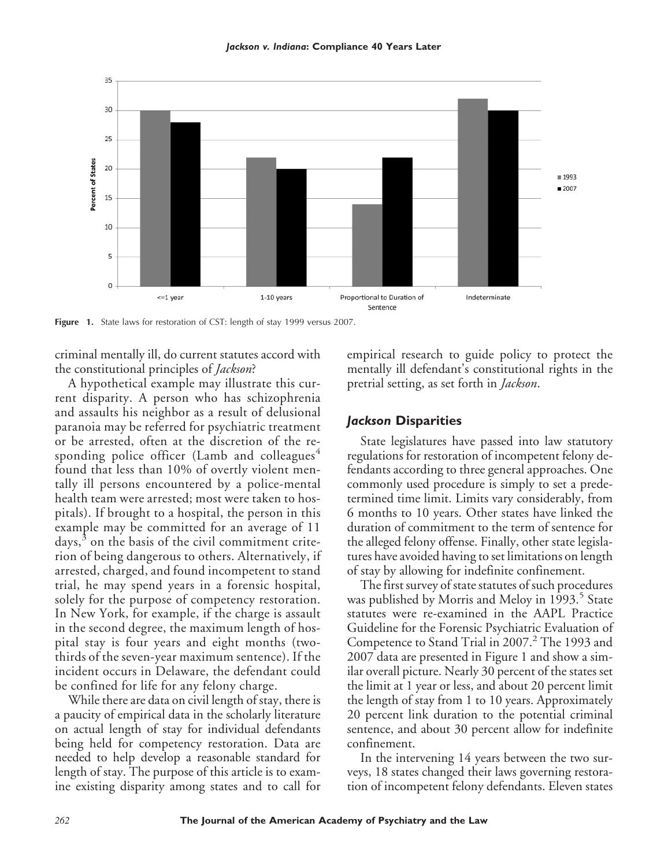



Figure 1. State laws for restoration of CST: length of stay 1999 versus 2007.

criminal mentally ill, do current statutes accord with the constitutional principles of *Jackson*?

A hypothetical example may illustrate this current disparity. A person who has schizophrenia and assaults his neighbor as a result of delusional paranoia may be referred for psychiatric treatment or be arrested, often at the discretion of the responding police officer (Lamb and colleagues $4$ found that less than 10% of overtly violent mentally ill persons encountered by a police-mental health team were arrested; most were taken to hospitals). If brought to a hospital, the person in this example may be committed for an average of 11 days, $3$  on the basis of the civil commitment criterion of being dangerous to others. Alternatively, if arrested, charged, and found incompetent to stand trial, he may spend years in a forensic hospital, solely for the purpose of competency restoration. In New York, for example, if the charge is assault in the second degree, the maximum length of hospital stay is four years and eight months (twothirds of the seven-year maximum sentence). If the incident occurs in Delaware, the defendant could be confined for life for any felony charge.

While there are data on civil length of stay, there is a paucity of empirical data in the scholarly literature on actual length of stay for individual defendants being held for competency restoration. Data are needed to help develop a reasonable standard for length of stay. The purpose of this article is to examine existing disparity among states and to call for

empirical research to guide policy to protect the mentally ill defendant's constitutional rights in the pretrial setting, as set forth in *Jackson*.

#### *Jackson* **Disparities**

State legislatures have passed into law statutory regulations for restoration of incompetent felony defendants according to three general approaches. One commonly used procedure is simply to set a predetermined time limit. Limits vary considerably, from 6 months to 10 years. Other states have linked the duration of commitment to the term of sentence for the alleged felony offense. Finally, other state legislatures have avoided having to set limitations on length of stay by allowing for indefinite confinement.

The first survey of state statutes of such procedures was published by Morris and Meloy in 1993.<sup>5</sup> State statutes were re-examined in the AAPL Practice Guideline for the Forensic Psychiatric Evaluation of Competence to Stand Trial in 2007.<sup>2</sup> The 1993 and 2007 data are presented in Figure 1 and show a similar overall picture. Nearly 30 percent of the states set the limit at 1 year or less, and about 20 percent limit the length of stay from 1 to 10 years. Approximately 20 percent link duration to the potential criminal sentence, and about 30 percent allow for indefinite confinement.

In the intervening 14 years between the two surveys, 18 states changed their laws governing restoration of incompetent felony defendants. Eleven states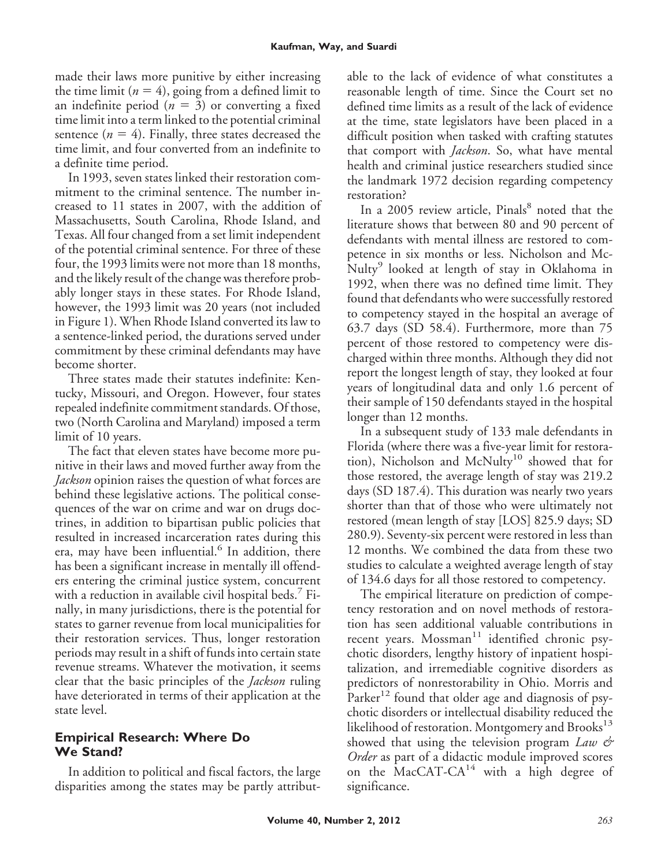made their laws more punitive by either increasing the time limit  $(n = 4)$ , going from a defined limit to an indefinite period  $(n = 3)$  or converting a fixed time limit into a term linked to the potential criminal sentence  $(n = 4)$ . Finally, three states decreased the time limit, and four converted from an indefinite to a definite time period.

In 1993, seven states linked their restoration commitment to the criminal sentence. The number increased to 11 states in 2007, with the addition of Massachusetts, South Carolina, Rhode Island, and Texas. All four changed from a set limit independent of the potential criminal sentence. For three of these four, the 1993 limits were not more than 18 months, and the likely result of the change was therefore probably longer stays in these states. For Rhode Island, however, the 1993 limit was 20 years (not included in Figure 1). When Rhode Island converted its law to a sentence-linked period, the durations served under commitment by these criminal defendants may have become shorter.

Three states made their statutes indefinite: Kentucky, Missouri, and Oregon. However, four states repealed indefinite commitment standards. Of those, two (North Carolina and Maryland) imposed a term limit of 10 years.

The fact that eleven states have become more punitive in their laws and moved further away from the *Jackson* opinion raises the question of what forces are behind these legislative actions. The political consequences of the war on crime and war on drugs doctrines, in addition to bipartisan public policies that resulted in increased incarceration rates during this era, may have been influential.<sup>6</sup> In addition, there has been a significant increase in mentally ill offenders entering the criminal justice system, concurrent with a reduction in available civil hospital beds.<sup>7</sup> Finally, in many jurisdictions, there is the potential for states to garner revenue from local municipalities for their restoration services. Thus, longer restoration periods may result in a shift of funds into certain state revenue streams. Whatever the motivation, it seems clear that the basic principles of the *Jackson* ruling have deteriorated in terms of their application at the state level.

## **Empirical Research: Where Do We Stand?**

In addition to political and fiscal factors, the large disparities among the states may be partly attributable to the lack of evidence of what constitutes a reasonable length of time. Since the Court set no defined time limits as a result of the lack of evidence at the time, state legislators have been placed in a difficult position when tasked with crafting statutes that comport with *Jackson*. So, what have mental health and criminal justice researchers studied since the landmark 1972 decision regarding competency restoration?

In a 2005 review article, Pinals<sup>8</sup> noted that the literature shows that between 80 and 90 percent of defendants with mental illness are restored to competence in six months or less. Nicholson and Mc-Nulty<sup>9</sup> looked at length of stay in Oklahoma in 1992, when there was no defined time limit. They found that defendants who were successfully restored to competency stayed in the hospital an average of 63.7 days (SD 58.4). Furthermore, more than 75 percent of those restored to competency were discharged within three months. Although they did not report the longest length of stay, they looked at four years of longitudinal data and only 1.6 percent of their sample of 150 defendants stayed in the hospital longer than 12 months.

In a subsequent study of 133 male defendants in Florida (where there was a five-year limit for restoration), Nicholson and McNulty<sup>10</sup> showed that for those restored, the average length of stay was 219.2 days (SD 187.4). This duration was nearly two years shorter than that of those who were ultimately not restored (mean length of stay [LOS] 825.9 days; SD 280.9). Seventy-six percent were restored in less than 12 months. We combined the data from these two studies to calculate a weighted average length of stay of 134.6 days for all those restored to competency.

The empirical literature on prediction of competency restoration and on novel methods of restoration has seen additional valuable contributions in recent years. Mossman<sup>11</sup> identified chronic psychotic disorders, lengthy history of inpatient hospitalization, and irremediable cognitive disorders as predictors of nonrestorability in Ohio. Morris and Parker<sup>12</sup> found that older age and diagnosis of psychotic disorders or intellectual disability reduced the likelihood of restoration. Montgomery and Brooks<sup>13</sup> showed that using the television program *Law & Order* as part of a didactic module improved scores on the MacCAT-CA $14$  with a high degree of significance.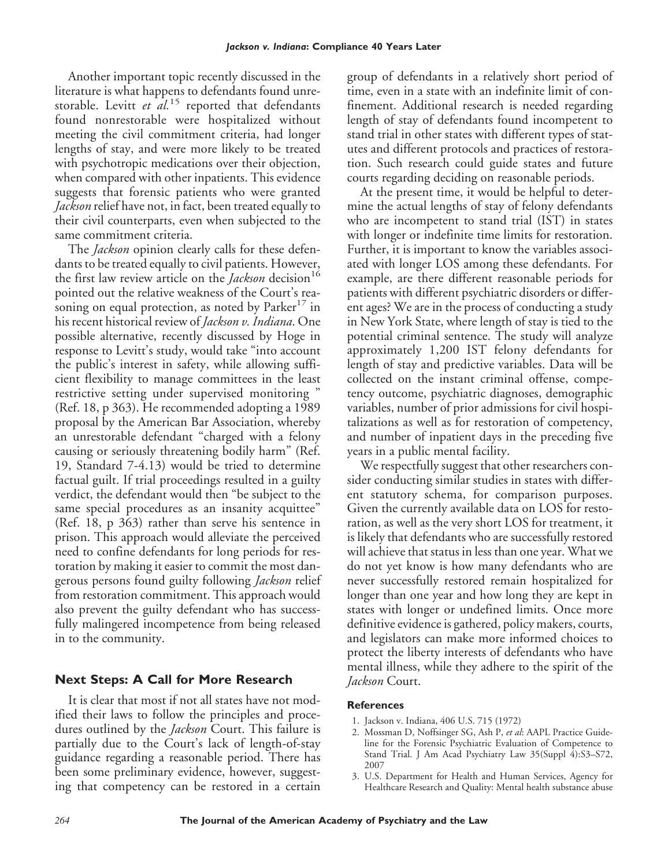Another important topic recently discussed in the literature is what happens to defendants found unrestorable. Levitt *et al.*<sup>15</sup> reported that defendants found nonrestorable were hospitalized without meeting the civil commitment criteria, had longer lengths of stay, and were more likely to be treated with psychotropic medications over their objection, when compared with other inpatients. This evidence suggests that forensic patients who were granted *Jackson* relief have not, in fact, been treated equally to their civil counterparts, even when subjected to the same commitment criteria.

The *Jackson* opinion clearly calls for these defendants to be treated equally to civil patients. However, the first law review article on the *Jackson* decision<sup>16</sup> pointed out the relative weakness of the Court's reasoning on equal protection, as noted by  $Parker^{17}$  in his recent historical review of *Jackson v. Indiana*. One possible alternative, recently discussed by Hoge in response to Levitt's study, would take "into account the public's interest in safety, while allowing sufficient flexibility to manage committees in the least restrictive setting under supervised monitoring " (Ref. 18, p 363). He recommended adopting a 1989 proposal by the American Bar Association, whereby an unrestorable defendant "charged with a felony causing or seriously threatening bodily harm" (Ref. 19, Standard 7-4.13) would be tried to determine factual guilt. If trial proceedings resulted in a guilty verdict, the defendant would then "be subject to the same special procedures as an insanity acquittee" (Ref. 18, p 363) rather than serve his sentence in prison. This approach would alleviate the perceived need to confine defendants for long periods for restoration by making it easier to commit the most dangerous persons found guilty following *Jackson* relief from restoration commitment. This approach would also prevent the guilty defendant who has successfully malingered incompetence from being released in to the community.

#### **Next Steps: A Call for More Research**

It is clear that most if not all states have not modified their laws to follow the principles and procedures outlined by the *Jackson* Court. This failure is partially due to the Court's lack of length-of-stay guidance regarding a reasonable period. There has been some preliminary evidence, however, suggesting that competency can be restored in a certain

group of defendants in a relatively short period of time, even in a state with an indefinite limit of confinement. Additional research is needed regarding length of stay of defendants found incompetent to stand trial in other states with different types of statutes and different protocols and practices of restoration. Such research could guide states and future courts regarding deciding on reasonable periods.

At the present time, it would be helpful to determine the actual lengths of stay of felony defendants who are incompetent to stand trial (IST) in states with longer or indefinite time limits for restoration. Further, it is important to know the variables associated with longer LOS among these defendants. For example, are there different reasonable periods for patients with different psychiatric disorders or different ages? We are in the process of conducting a study in New York State, where length of stay is tied to the potential criminal sentence. The study will analyze approximately 1,200 IST felony defendants for length of stay and predictive variables. Data will be collected on the instant criminal offense, competency outcome, psychiatric diagnoses, demographic variables, number of prior admissions for civil hospitalizations as well as for restoration of competency, and number of inpatient days in the preceding five years in a public mental facility.

We respectfully suggest that other researchers consider conducting similar studies in states with different statutory schema, for comparison purposes. Given the currently available data on LOS for restoration, as well as the very short LOS for treatment, it is likely that defendants who are successfully restored will achieve that status in less than one year. What we do not yet know is how many defendants who are never successfully restored remain hospitalized for longer than one year and how long they are kept in states with longer or undefined limits. Once more definitive evidence is gathered, policy makers, courts, and legislators can make more informed choices to protect the liberty interests of defendants who have mental illness, while they adhere to the spirit of the *Jackson* Court.

#### **References**

- 1. Jackson v. Indiana, 406 U.S. 715 (1972)
- 2. Mossman D, Noffsinger SG, Ash P, *et al*: AAPL Practice Guideline for the Forensic Psychiatric Evaluation of Competence to Stand Trial. J Am Acad Psychiatry Law 35(Suppl 4):S3–S72, 2007
- 3. U.S. Department for Health and Human Services, Agency for Healthcare Research and Quality: Mental health substance abuse